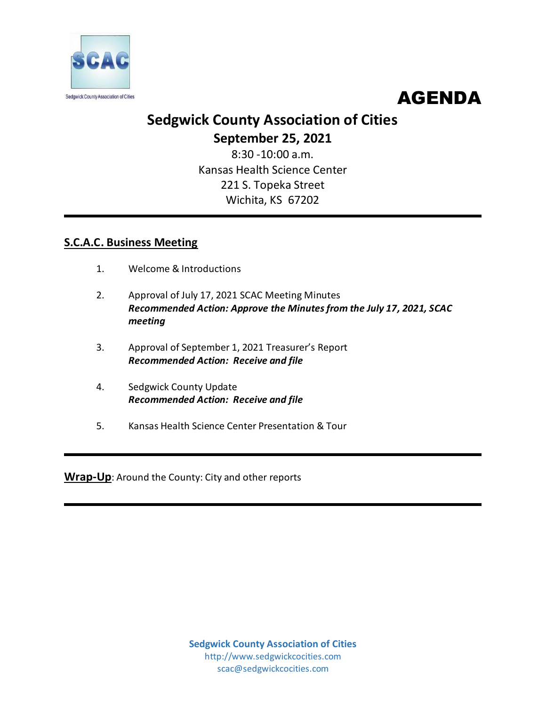



# **Sedgwick County Association of Cities September 25, 2021**

8:30 -10:00 a.m. Kansas Health Science Center 221 S. Topeka Street Wichita, KS 67202

## **S.C.A.C. Business Meeting**

- 1. Welcome & Introductions
- 2. Approval of July 17, 2021 SCAC Meeting Minutes *Recommended Action: Approve the Minutes from the July 17, 2021, SCAC meeting*
- 3. Approval of September 1, 2021 Treasurer's Report *Recommended Action: Receive and file*
- 4. Sedgwick County Update *Recommended Action: Receive and file*
- 5. Kansas Health Science Center Presentation & Tour

**Wrap-Up**: Around the County: City and other reports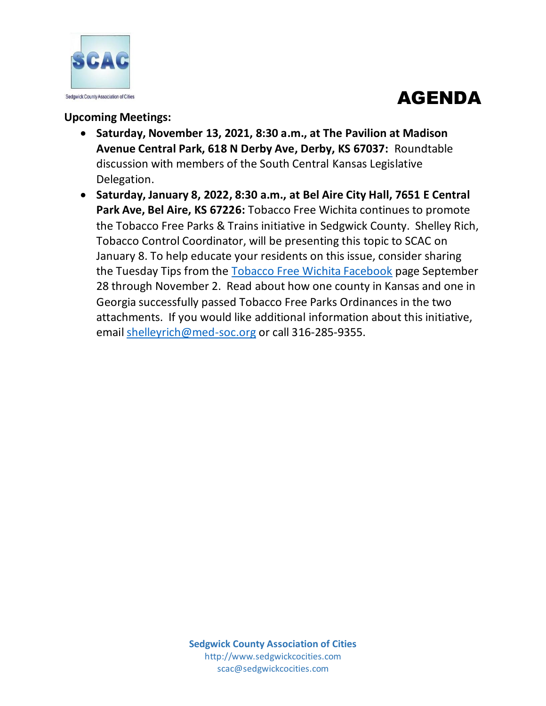



## **Upcoming Meetings:**

- **Saturday, November 13, 2021, 8:30 a.m., at The Pavilion at Madison Avenue Central Park, 618 N Derby Ave, Derby, KS 67037:** Roundtable discussion with members of the South Central Kansas Legislative Delegation.
- **Saturday, January 8, 2022, 8:30 a.m., at Bel Aire City Hall, 7651 E Central Park Ave, Bel Aire, KS 67226:** Tobacco Free Wichita continues to promote the Tobacco Free Parks & Trains initiative in Sedgwick County. Shelley Rich, Tobacco Control Coordinator, will be presenting this topic to SCAC on January 8. To help educate your residents on this issue, consider sharing the Tuesday Tips from the [Tobacco Free Wichita Facebook](https://www.facebook.com/TobaccoFreeWichita) page September 28 through November 2. Read about how one county in Kansas and one in Georgia successfully passed Tobacco Free Parks Ordinances in the two attachments. If you would like additional information about this initiative, email [shelleyrich@med-soc.org](mailto:shelleyrich@med-soc.org) or call 316-285-9355.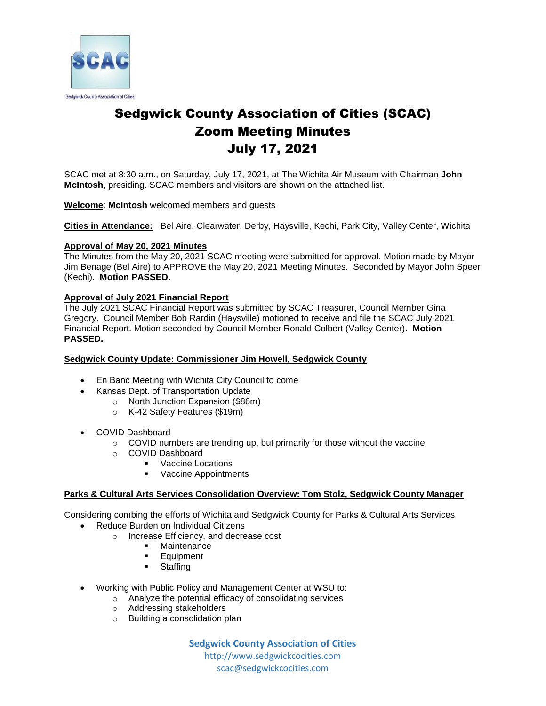

# Sedgwick County Association of Cities (SCAC) Zoom Meeting Minutes July 17, 2021

SCAC met at 8:30 a.m., on Saturday, July 17, 2021, at The Wichita Air Museum with Chairman **John McIntosh**, presiding. SCAC members and visitors are shown on the attached list.

**Welcome**: **McIntosh** welcomed members and guests

**Cities in Attendance:** Bel Aire, Clearwater, Derby, Haysville, Kechi, Park City, Valley Center, Wichita

#### **Approval of May 20, 2021 Minutes**

The Minutes from the May 20, 2021 SCAC meeting were submitted for approval. Motion made by Mayor Jim Benage (Bel Aire) to APPROVE the May 20, 2021 Meeting Minutes. Seconded by Mayor John Speer (Kechi). **Motion PASSED.** 

#### **Approval of July 2021 Financial Report**

The July 2021 SCAC Financial Report was submitted by SCAC Treasurer, Council Member Gina Gregory. Council Member Bob Rardin (Haysville) motioned to receive and file the SCAC July 2021 Financial Report. Motion seconded by Council Member Ronald Colbert (Valley Center). **Motion PASSED.**

#### **Sedgwick County Update: Commissioner Jim Howell, Sedgwick County**

- En Banc Meeting with Wichita City Council to come
- Kansas Dept. of Transportation Update
	- o North Junction Expansion (\$86m)
		- o K-42 Safety Features (\$19m)
- COVID Dashboard
	- $\circ$  COVID numbers are trending up, but primarily for those without the vaccine
	- o COVID Dashboard
		- Vaccine Locations
		- Vaccine Appointments

#### **Parks & Cultural Arts Services Consolidation Overview: Tom Stolz, Sedgwick County Manager**

Considering combing the efforts of Wichita and Sedgwick County for Parks & Cultural Arts Services

- Reduce Burden on Individual Citizens
	- o Increase Efficiency, and decrease cost
		- Maintenance
		- **Equipment**
		- **Staffing**
- Working with Public Policy and Management Center at WSU to:
	- o Analyze the potential efficacy of consolidating services
		- o Addressing stakeholders
		- o Building a consolidation plan

**Sedgwick County Association of Cities** http://www.sedgwickcocities.com

scac@sedgwickcocities.com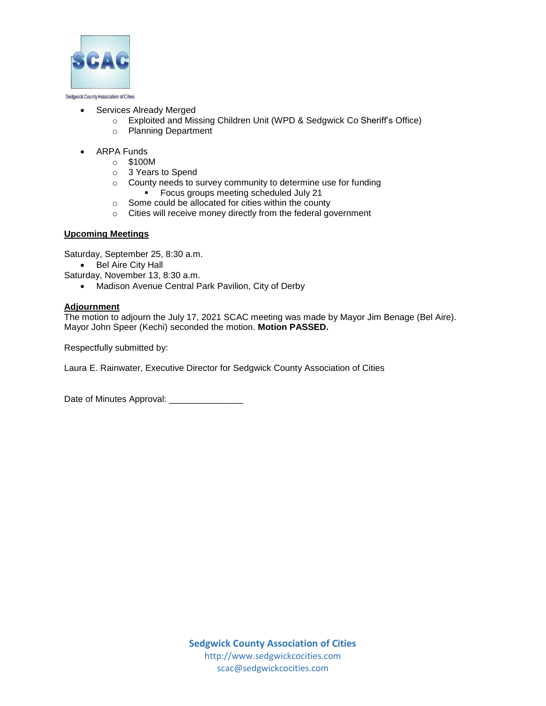

#### Services Already Merged

- o Exploited and Missing Children Unit (WPD & Sedgwick Co Sheriff's Office)
- o Planning Department
- ARPA Funds
	- o \$100M
	- o 3 Years to Spend
	- o County needs to survey community to determine use for funding Focus groups meeting scheduled July 21
	- o Some could be allocated for cities within the county
	- o Cities will receive money directly from the federal government

#### **Upcoming Meetings**

Saturday, September 25, 8:30 a.m.

• Bel Aire City Hall

Saturday, November 13, 8:30 a.m.

Madison Avenue Central Park Pavilion, City of Derby

### **Adjournment**

The motion to adjourn the July 17, 2021 SCAC meeting was made by Mayor Jim Benage (Bel Aire). Mayor John Speer (Kechi) seconded the motion. **Motion PASSED.** 

Respectfully submitted by:

Laura E. Rainwater, Executive Director for Sedgwick County Association of Cities

Date of Minutes Approval: \_\_\_\_\_\_\_\_\_\_\_\_\_\_\_\_